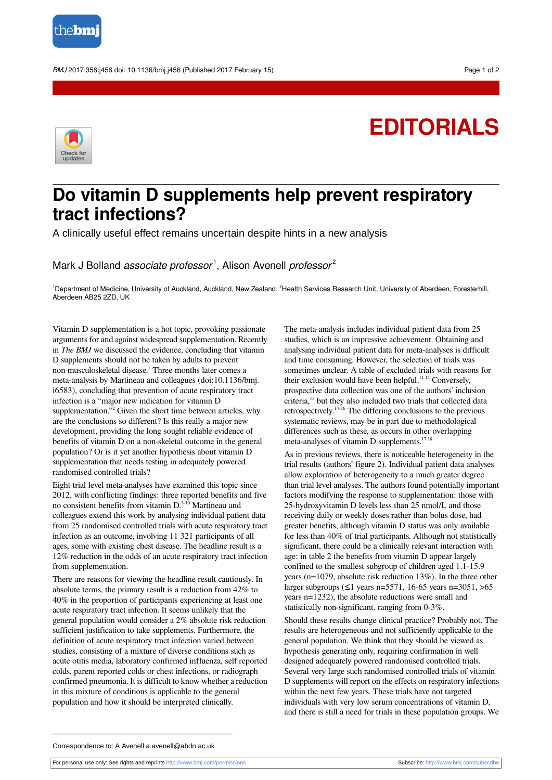

BMJ 2017;356:j456 doi: 10.1136/bmj.j456 (Published 2017 February 15) Page 1 of 2

## **EDITORIALS**



## **Do vitamin D supplements help prevent respiratory tract infections?**

A clinically useful effect remains uncertain despite hints in a new analysis

Mark J Bolland *associate professor*<sup>1</sup>, Alison Avenell *professor<sup>2</sup>* 

<sup>1</sup>Department of Medicine, University of Auckland, Auckland, New Zealand; <sup>2</sup>Health Services Research Unit, University of Aberdeen, Foresterhill, Aberdeen AB25 2ZD, UK

Vitamin D supplementation is a hot topic, provoking passionate arguments for and against widespread supplementation. Recently in *The BMJ* we discussed the evidence, concluding that vitamin D supplements should not be taken by adults to prevent non-musculoskeletal disease. 1 Three months later comes a meta-analysis by Martineau and colleagues (doi:10.1136/bmj. i6583), concluding that prevention of acute respiratory tract infection is a "major new indication for vitamin D supplementation."<sup>2</sup> Given the short time between articles, why are the conclusions so different? Is this really a major new development, providing the long sought reliable evidence of benefits of vitamin D on a non-skeletal outcome in the general population? Or is it yet another hypothesis about vitamin D supplementation that needs testing in adequately powered randomised controlled trials?

Eight trial level meta-analyses have examined this topic since 2012, with conflicting findings: three reported benefits and five no consistent benefits from vitamin D. 3-10 Martineau and colleagues extend this work by analysing individual patient data from 25 randomised controlled trials with acute respiratory tract infection as an outcome, involving 11 321 participants of all ages, some with existing chest disease. The headline result is a 12% reduction in the odds of an acute respiratory tract infection from supplementation.

There are reasons for viewing the headline result cautiously. In absolute terms, the primary result is a reduction from 42% to 40% in the proportion of participants experiencing at least one acute respiratory tract infection. It seems unlikely that the general population would consider a 2% absolute risk reduction sufficient justification to take supplements. Furthermore, the definition of acute respiratory tract infection varied between studies, consisting of a mixture of diverse conditions such as acute otitis media, laboratory confirmed influenza, self reported colds, parent reported colds or chest infections, or radiograph confirmed pneumonia. It is difficult to know whether a reduction in this mixture of conditions is applicable to the general population and how it should be interpreted clinically.

The meta-analysis includes individual patient data from 25 studies, which is an impressive achievement. Obtaining and analysing individual patient data for meta-analyses is difficult and time consuming. However, the selection of trials was sometimes unclear. A table of excluded trials with reasons for their exclusion would have been helpful.<sup>11 12</sup> Conversely, prospective data collection was one of the authors' inclusion criteria, <sup>13</sup> but they also included two trials that collected data retrospectively. 14-16 The differing conclusions to the previous systematic reviews, may be in part due to methodological differences such as these, as occurs in other overlapping meta-analyses of vitamin D supplements.<sup>1718</sup>

As in previous reviews, there is noticeable heterogeneity in the trial results (authors' figure 2). Individual patient data analyses allow exploration of heterogeneity to a much greater degree than trial level analyses. The authors found potentially important factors modifying the response to supplementation: those with 25-hydroxyvitamin D levels less than 25 nmol/L and those receiving daily or weekly doses rather than bolus dose, had greater benefits, although vitamin D status was only available for less than 40% of trial participants. Although not statistically significant, there could be a clinically relevant interaction with age: in table 2 the benefits from vitamin D appear largely confined to the smallest subgroup of children aged 1.1-15.9 years (n=1079, absolute risk reduction 13%). In the three other larger subgroups (≤1 years n=5571, 16-65 years n=3051, >65 years n=1232), the absolute reductions were small and statistically non-significant, ranging from 0-3%.

Should these results change clinical practice? Probably not. The results are heterogeneous and not sufficiently applicable to the general population. We think that they should be viewed as hypothesis generating only, requiring confirmation in well designed adequately powered randomised controlled trials. Several very large such randomised controlled trials of vitamin D supplements will report on the effects on respiratory infections within the next few years. These trials have not targeted individuals with very low serum concentrations of vitamin D, and there is still a need for trials in these population groups. We

Correspondence to: A Avenell a.avenell@abdn.ac.uk